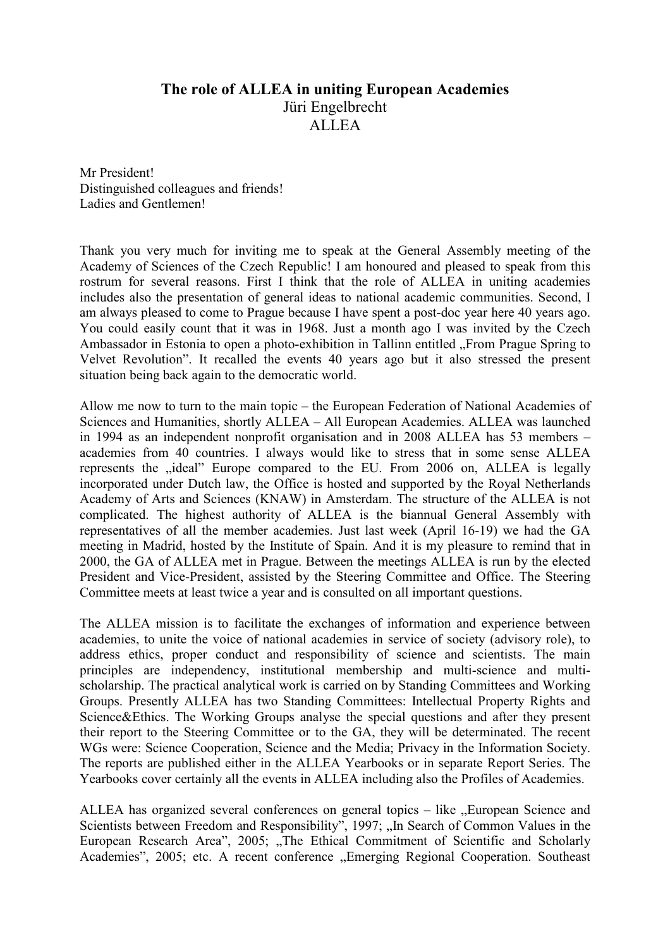## The role of ALLEA in uniting European Academies Jüri Engelbrecht ALLEA

Mr President! Distinguished colleagues and friends! Ladies and Gentlemen!

Thank you very much for inviting me to speak at the General Assembly meeting of the Academy of Sciences of the Czech Republic! I am honoured and pleased to speak from this rostrum for several reasons. First I think that the role of ALLEA in uniting academies includes also the presentation of general ideas to national academic communities. Second, I am always pleased to come to Prague because I have spent a post-doc year here 40 years ago. You could easily count that it was in 1968. Just a month ago I was invited by the Czech Ambassador in Estonia to open a photo-exhibition in Tallinn entitled "From Prague Spring to Velvet Revolution". It recalled the events 40 years ago but it also stressed the present situation being back again to the democratic world.

Allow me now to turn to the main topic – the European Federation of National Academies of Sciences and Humanities, shortly ALLEA – All European Academies. ALLEA was launched in 1994 as an independent nonprofit organisation and in 2008 ALLEA has 53 members – academies from 40 countries. I always would like to stress that in some sense ALLEA represents the "ideal" Europe compared to the EU. From 2006 on, ALLEA is legally incorporated under Dutch law, the Office is hosted and supported by the Royal Netherlands Academy of Arts and Sciences (KNAW) in Amsterdam. The structure of the ALLEA is not complicated. The highest authority of ALLEA is the biannual General Assembly with representatives of all the member academies. Just last week (April 16-19) we had the GA meeting in Madrid, hosted by the Institute of Spain. And it is my pleasure to remind that in 2000, the GA of ALLEA met in Prague. Between the meetings ALLEA is run by the elected President and Vice-President, assisted by the Steering Committee and Office. The Steering Committee meets at least twice a year and is consulted on all important questions.

The ALLEA mission is to facilitate the exchanges of information and experience between academies, to unite the voice of national academies in service of society (advisory role), to address ethics, proper conduct and responsibility of science and scientists. The main principles are independency, institutional membership and multi-science and multischolarship. The practical analytical work is carried on by Standing Committees and Working Groups. Presently ALLEA has two Standing Committees: Intellectual Property Rights and Science&Ethics. The Working Groups analyse the special questions and after they present their report to the Steering Committee or to the GA, they will be determinated. The recent WGs were: Science Cooperation, Science and the Media; Privacy in the Information Society. The reports are published either in the ALLEA Yearbooks or in separate Report Series. The Yearbooks cover certainly all the events in ALLEA including also the Profiles of Academies.

ALLEA has organized several conferences on general topics – like "European Science and Scientists between Freedom and Responsibility", 1997; "In Search of Common Values in the European Research Area", 2005; "The Ethical Commitment of Scientific and Scholarly Academies", 2005; etc. A recent conference "Emerging Regional Cooperation. Southeast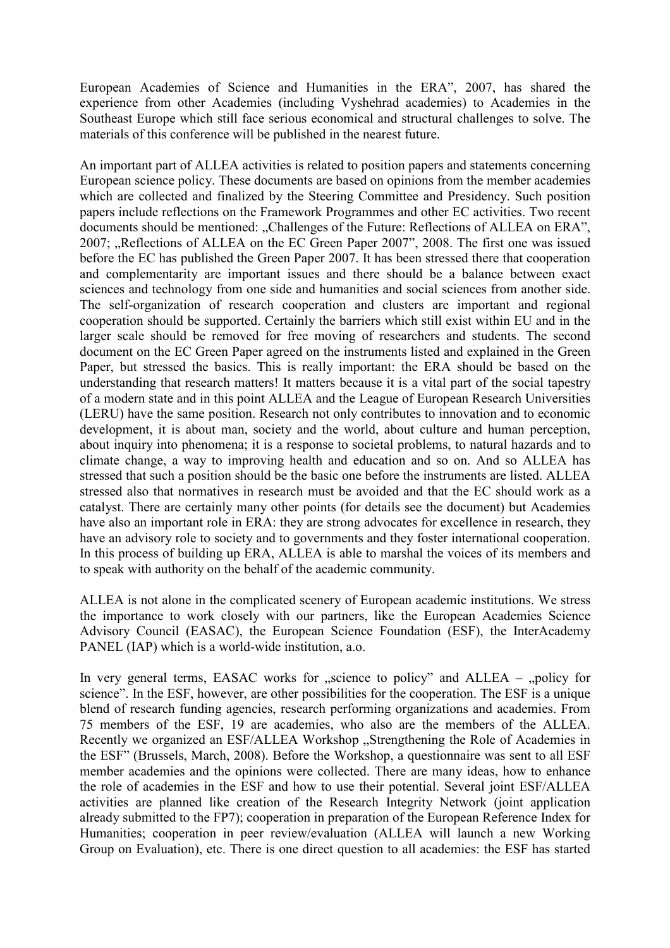European Academies of Science and Humanities in the ERA", 2007, has shared the experience from other Academies (including Vyshehrad academies) to Academies in the Southeast Europe which still face serious economical and structural challenges to solve. The materials of this conference will be published in the nearest future.

An important part of ALLEA activities is related to position papers and statements concerning European science policy. These documents are based on opinions from the member academies which are collected and finalized by the Steering Committee and Presidency. Such position papers include reflections on the Framework Programmes and other EC activities. Two recent documents should be mentioned: "Challenges of the Future: Reflections of ALLEA on ERA", 2007; "Reflections of ALLEA on the EC Green Paper 2007", 2008. The first one was issued before the EC has published the Green Paper 2007. It has been stressed there that cooperation and complementarity are important issues and there should be a balance between exact sciences and technology from one side and humanities and social sciences from another side. The self-organization of research cooperation and clusters are important and regional cooperation should be supported. Certainly the barriers which still exist within EU and in the larger scale should be removed for free moving of researchers and students. The second document on the EC Green Paper agreed on the instruments listed and explained in the Green Paper, but stressed the basics. This is really important: the ERA should be based on the understanding that research matters! It matters because it is a vital part of the social tapestry of a modern state and in this point ALLEA and the League of European Research Universities (LERU) have the same position. Research not only contributes to innovation and to economic development, it is about man, society and the world, about culture and human perception, about inquiry into phenomena; it is a response to societal problems, to natural hazards and to climate change, a way to improving health and education and so on. And so ALLEA has stressed that such a position should be the basic one before the instruments are listed. ALLEA stressed also that normatives in research must be avoided and that the EC should work as a catalyst. There are certainly many other points (for details see the document) but Academies have also an important role in ERA: they are strong advocates for excellence in research, they have an advisory role to society and to governments and they foster international cooperation. In this process of building up ERA, ALLEA is able to marshal the voices of its members and to speak with authority on the behalf of the academic community.

ALLEA is not alone in the complicated scenery of European academic institutions. We stress the importance to work closely with our partners, like the European Academies Science Advisory Council (EASAC), the European Science Foundation (ESF), the InterAcademy PANEL (IAP) which is a world-wide institution, a.o.

In very general terms, EASAC works for  $\mu$  science to policy" and ALLEA –  $\mu$  policy for science". In the ESF, however, are other possibilities for the cooperation. The ESF is a unique blend of research funding agencies, research performing organizations and academies. From 75 members of the ESF, 19 are academies, who also are the members of the ALLEA. Recently we organized an ESF/ALLEA Workshop "Strengthening the Role of Academies in the ESF" (Brussels, March, 2008). Before the Workshop, a questionnaire was sent to all ESF member academies and the opinions were collected. There are many ideas, how to enhance the role of academies in the ESF and how to use their potential. Several joint ESF/ALLEA activities are planned like creation of the Research Integrity Network (joint application already submitted to the FP7); cooperation in preparation of the European Reference Index for Humanities; cooperation in peer review/evaluation (ALLEA will launch a new Working Group on Evaluation), etc. There is one direct question to all academies: the ESF has started